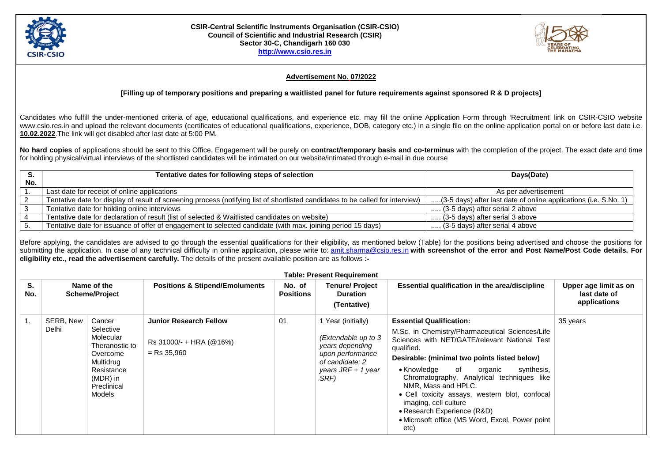

## **CSIR-Central Scientific Instruments Organisation (CSIR-CSIO) Council of Scientific and Industrial Research (CSIR) Sector 30-C, Chandigarh 160 030 [http://www.csio.res.in](http://www.csio.res.in/)**



## **Advertisement No**. **07/2022**

## **[Filling up of temporary positions and preparing a waitlisted panel for future requirements against sponsored R & D projects]**

Candidates who fulfill the under-mentioned criteria of age, educational qualifications, and experience etc. may fill the online Application Form through 'Recruitment' link on CSIR-CSIO website www.csio.res.in and upload the relevant documents (certificates of educational qualifications, experience, DOB, category etc.) in a single file on the online application portal on or before last date i.e. **10.02.2022**.The link will get disabled after last date at 5:00 PM.

**No hard copies** of applications should be sent to this Office. Engagement will be purely on **contract/temporary basis and co-terminus** with the completion of the project. The exact date and time for holding physical/virtual interviews of the shortlisted candidates will be intimated on our website/intimated through e-mail in due course

| S.  | Tentative dates for following steps of selection                                                                                | Days(Date)                                                       |  |
|-----|---------------------------------------------------------------------------------------------------------------------------------|------------------------------------------------------------------|--|
| No. |                                                                                                                                 |                                                                  |  |
|     | Last date for receipt of online applications                                                                                    | As per advertisement                                             |  |
|     | Tentative date for display of result of screening process (notifying list of shortlisted candidates to be called for interview) | (3-5 days) after last date of online applications (i.e. S.No. 1) |  |
|     | Tentative date for holding online interviews                                                                                    | (3-5 days) after serial 2 above                                  |  |
|     | Tentative date for declaration of result (list of selected & Waitlisted candidates on website)                                  | (3-5 days) after serial 3 above                                  |  |
|     | Tentative date for issuance of offer of engagement to selected candidate (with max. joining period 15 days)                     | (3-5 days) after serial 4 above                                  |  |

Before applying, the candidates are advised to go through the essential qualifications for their eligibility, as mentioned below (Table) for the positions being advertised and choose the positions for submitting the application. In case of any technical difficulty in online application, please write to: [amit.sharma@csio.res.in](mailto:amit.sharma@csio.res.in) with screenshot of the error and Post Name/Post Code details. For **eligibility etc., read the advertisement carefully.** The details of the present available position are as follows **:-**

| <b>Table: Present Requirement</b> |                    |                                                                                                                                |                                                                           |                            |                                                                                                                                   |                                                                                                                                                                                                                                                                                                                                                                                                                                                                                                   |                                                       |  |
|-----------------------------------|--------------------|--------------------------------------------------------------------------------------------------------------------------------|---------------------------------------------------------------------------|----------------------------|-----------------------------------------------------------------------------------------------------------------------------------|---------------------------------------------------------------------------------------------------------------------------------------------------------------------------------------------------------------------------------------------------------------------------------------------------------------------------------------------------------------------------------------------------------------------------------------------------------------------------------------------------|-------------------------------------------------------|--|
| S.<br>No.                         |                    | Name of the<br><b>Scheme/Project</b>                                                                                           | <b>Positions &amp; Stipend/Emoluments</b>                                 | No. of<br><b>Positions</b> | <b>Tenure/ Project</b><br><b>Duration</b><br>(Tentative)                                                                          | Essential qualification in the area/discipline                                                                                                                                                                                                                                                                                                                                                                                                                                                    | Upper age limit as on<br>last date of<br>applications |  |
|                                   | SERB, New<br>Delhi | Cancer<br>Selective<br>Molecular<br>Theranostic to<br>Overcome<br>Multidrug<br>Resistance<br>(MDR) in<br>Preclinical<br>Models | <b>Junior Research Fellow</b><br>Rs 31000/- + HRA (@16%)<br>$=$ Rs 35,960 | 01                         | 1 Year (initially)<br>(Extendable up to 3<br>years depending<br>upon performance<br>of candidate; 2<br>years JRF + 1 year<br>SRF) | <b>Essential Qualification:</b><br>M.Sc. in Chemistry/Pharmaceutical Sciences/Life<br>Sciences with NET/GATE/relevant National Test<br>qualified.<br>Desirable: (minimal two points listed below)<br>$\bullet$ Knowledge<br>of<br>synthesis,<br>organic<br>Chromatography, Analytical techniques like<br>NMR, Mass and HPLC.<br>• Cell toxicity assays, western blot, confocal<br>imaging, cell culture<br>• Research Experience (R&D)<br>• Microsoft office (MS Word, Excel, Power point<br>etc) | 35 years                                              |  |